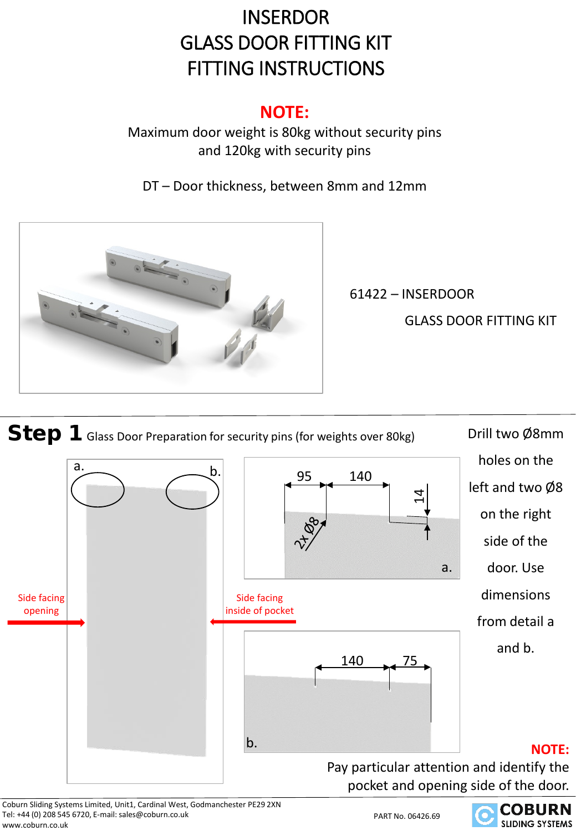## **INSERDOR** GLASS DOOR FITTING KIT FITTING INSTRUCTIONS

### **NOTE:**

Maximum door weight is 80kg without security pins and 120kg with security pins

DT – Door thickness, between 8mm and 12mm



61422 – INSERDOOR

GLASS DOOR FITTING KIT



Coburn Sliding Systems Limited, Unit1, Cardinal West, Godmanchester PE29 2XN Tel: +44 (0) 208 545 6720, E-mail: sales@coburn.co.uk www.coburn.co.uk

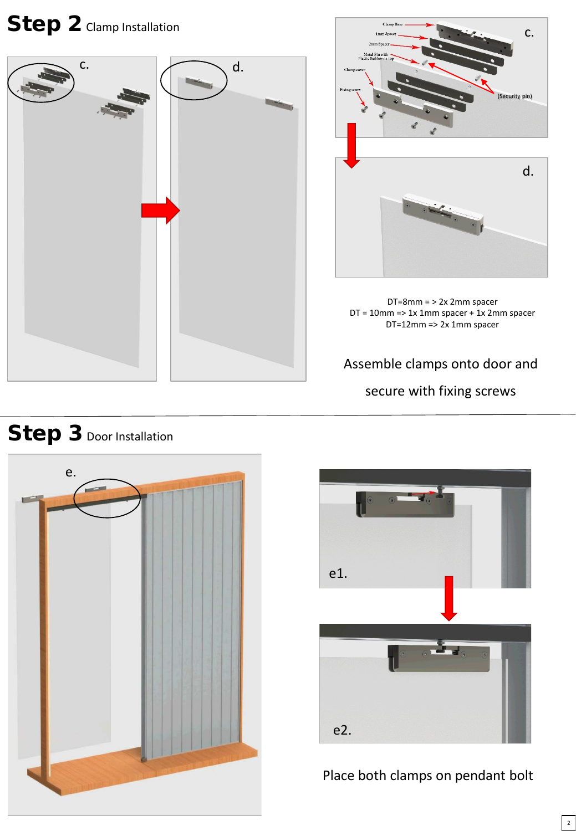# Step 2 Clamp Installation





DT=8mm = > 2x 2mm spacer DT = 10mm => 1x 1mm spacer + 1x 2mm spacer DT=12mm => 2x 1mm spacer

Assemble clamps onto door and secure with fixing screws





#### Place both clamps on pendant bolt

### Step 3 Door Installation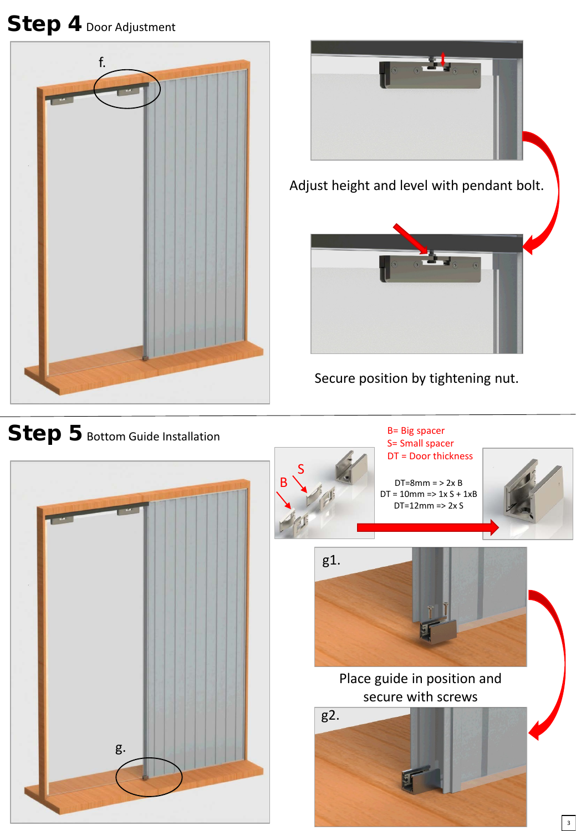## Step 4 Door Adjustment





Secure position by tightening nut.